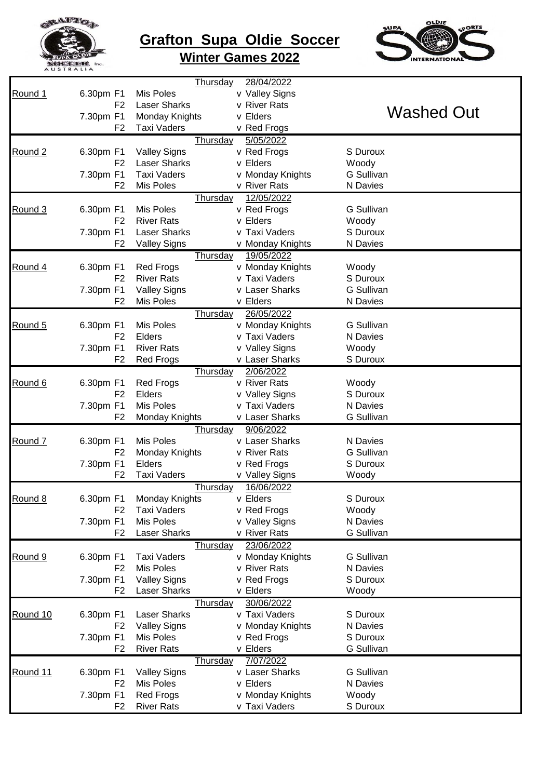

## **Grafton Supa Oldie Soccer Winter Games 2022**



|                    |                | Thursday            | 28/04/2022       |                   |
|--------------------|----------------|---------------------|------------------|-------------------|
| Round 1            | 6.30pm F1      | Mis Poles           | v Valley Signs   |                   |
|                    | F <sub>2</sub> | <b>Laser Sharks</b> | v River Rats     |                   |
|                    | 7.30pm F1      | Monday Knights      | v Elders         | <b>Washed Out</b> |
|                    | F <sub>2</sub> | <b>Taxi Vaders</b>  |                  |                   |
|                    |                |                     | v Red Frogs      |                   |
|                    |                | Thursday            | 5/05/2022        |                   |
| Round <sub>2</sub> | 6.30pm F1      | <b>Valley Signs</b> | v Red Frogs      | S Duroux          |
|                    | F <sub>2</sub> | <b>Laser Sharks</b> | v Elders         | Woody             |
|                    | 7.30pm F1      | <b>Taxi Vaders</b>  | v Monday Knights | <b>G Sullivan</b> |
|                    | F <sub>2</sub> | Mis Poles           | v River Rats     | N Davies          |
|                    |                | Thursday            | 12/05/2022       |                   |
| Round 3            | 6.30pm F1      | Mis Poles           | v Red Frogs      | <b>G Sullivan</b> |
|                    | F <sub>2</sub> | <b>River Rats</b>   | v Elders         | Woody             |
|                    | 7.30pm F1      | <b>Laser Sharks</b> | v Taxi Vaders    | S Duroux          |
|                    | F <sub>2</sub> | <b>Valley Signs</b> | v Monday Knights | N Davies          |
|                    |                |                     | 19/05/2022       |                   |
|                    |                | <b>Thursday</b>     |                  |                   |
| Round 4            | 6.30pm F1      | <b>Red Frogs</b>    | v Monday Knights | Woody             |
|                    | F <sub>2</sub> | <b>River Rats</b>   | v Taxi Vaders    | S Duroux          |
|                    | 7.30pm F1      | <b>Valley Signs</b> | v Laser Sharks   | <b>G Sullivan</b> |
|                    | F <sub>2</sub> | Mis Poles           | v Elders         | N Davies          |
|                    |                | <b>Thursday</b>     | 26/05/2022       |                   |
| Round 5            | 6.30pm F1      | Mis Poles           | v Monday Knights | <b>G Sullivan</b> |
|                    | F <sub>2</sub> | Elders              | v Taxi Vaders    | N Davies          |
|                    | 7.30pm F1      | <b>River Rats</b>   | v Valley Signs   | Woody             |
|                    | F <sub>2</sub> | <b>Red Frogs</b>    | v Laser Sharks   | S Duroux          |
|                    |                | Thursday            | 2/06/2022        |                   |
| Round 6            | 6.30pm F1      | <b>Red Frogs</b>    | v River Rats     | Woody             |
|                    | F <sub>2</sub> | Elders              | v Valley Signs   | S Duroux          |
|                    | 7.30pm F1      | Mis Poles           | v Taxi Vaders    | N Davies          |
|                    | F <sub>2</sub> | Monday Knights      | v Laser Sharks   | <b>G Sullivan</b> |
|                    |                |                     |                  |                   |
|                    |                | <b>Thursday</b>     | 9/06/2022        |                   |
| Round 7            | 6.30pm F1      | Mis Poles           | v Laser Sharks   | N Davies          |
|                    | F <sub>2</sub> | Monday Knights      | v River Rats     | <b>G</b> Sullivan |
|                    | 7.30pm F1      | Elders              | v Red Frogs      | S Duroux          |
|                    | F <sub>2</sub> | <b>Taxi Vaders</b>  | v Valley Signs   | Woody             |
|                    |                | <b>Thursday</b>     | 16/06/2022       |                   |
| Round 8            | 6.30pm F1      | Monday Knights      | v Elders         | S Duroux          |
|                    | F <sub>2</sub> | <b>Taxi Vaders</b>  | v Red Frogs      | Woody             |
|                    | 7.30pm F1      | <b>Mis Poles</b>    | v Valley Signs   | N Davies          |
|                    | F <sub>2</sub> | <b>Laser Sharks</b> | v River Rats     | <b>G Sullivan</b> |
|                    |                | <b>Thursday</b>     | 23/06/2022       |                   |
| Round 9            | 6.30pm F1      | <b>Taxi Vaders</b>  | v Monday Knights | <b>G Sullivan</b> |
|                    | F <sub>2</sub> | <b>Mis Poles</b>    | v River Rats     | N Davies          |
|                    | 7.30pm F1      | <b>Valley Signs</b> | v Red Frogs      | S Duroux          |
|                    |                |                     |                  |                   |
|                    | F2             | <b>Laser Sharks</b> | v Elders         | Woody             |
|                    |                | <b>Thursday</b>     | 30/06/2022       |                   |
| Round 10           | 6.30pm F1      | <b>Laser Sharks</b> | v Taxi Vaders    | S Duroux          |
|                    | F <sub>2</sub> | <b>Valley Signs</b> | v Monday Knights | N Davies          |
|                    | 7.30pm F1      | <b>Mis Poles</b>    | v Red Frogs      | S Duroux          |
|                    | F <sub>2</sub> | <b>River Rats</b>   | v Elders         | <b>G</b> Sullivan |
|                    |                | <b>Thursday</b>     | 7/07/2022        |                   |
| Round 11           | 6.30pm F1      | <b>Valley Signs</b> | v Laser Sharks   | <b>G</b> Sullivan |
|                    | F <sub>2</sub> | Mis Poles           | v Elders         | N Davies          |
|                    | 7.30pm F1      | <b>Red Frogs</b>    | v Monday Knights | Woody             |
|                    | F <sub>2</sub> | <b>River Rats</b>   | v Taxi Vaders    | S Duroux          |